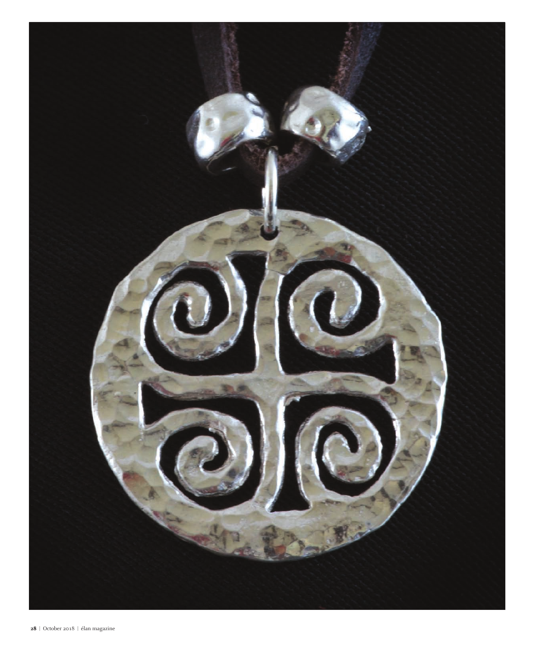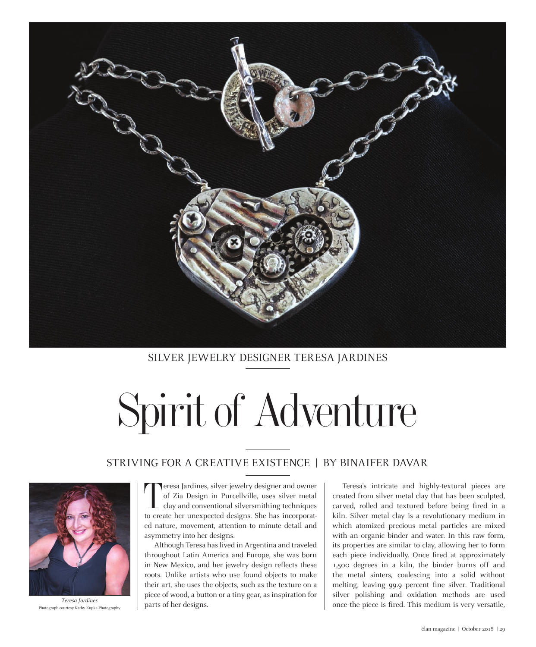

SILVER JEWELRY DESIGNER TERESA JARDINES

## Spirit of Adventure

striving for a creative existence | BY BINAIFER DAVAR



*Teresa Jardines* Photograph courtesy Kathy Kupka Photography

Teresa Jardines, silver jewelry designer and owner<br>of Zia Design in Purcellville, uses silver metal<br>clay and conventional silversmithing techniques<br>to create her unexpected designs. She has incorporateresa Jardines, silver jewelry designer and owner of Zia Design in Purcellville, uses silver metal clay and conventional silversmithing techniques ed nature, movement, attention to minute detail and asymmetry into her designs.

Although Teresa has lived in Argentina and traveled throughout Latin America and Europe, she was born in New Mexico, and her jewelry design reflects these roots. Unlike artists who use found objects to make their art, she uses the objects, such as the texture on a piece of wood, a button or a tiny gear, as inspiration for parts of her designs.

Teresa's intricate and highly-textural pieces are created from silver metal clay that has been sculpted, carved, rolled and textured before being fired in a kiln. Silver metal clay is a revolutionary medium in which atomized precious metal particles are mixed with an organic binder and water. In this raw form, its properties are similar to clay, allowing her to form each piece individually. Once fired at approximately 1,500 degrees in a kiln, the binder burns off and the metal sinters, coalescing into a solid without melting, leaving 99.9 percent fine silver. Traditional silver polishing and oxidation methods are used once the piece is fired. This medium is very versatile,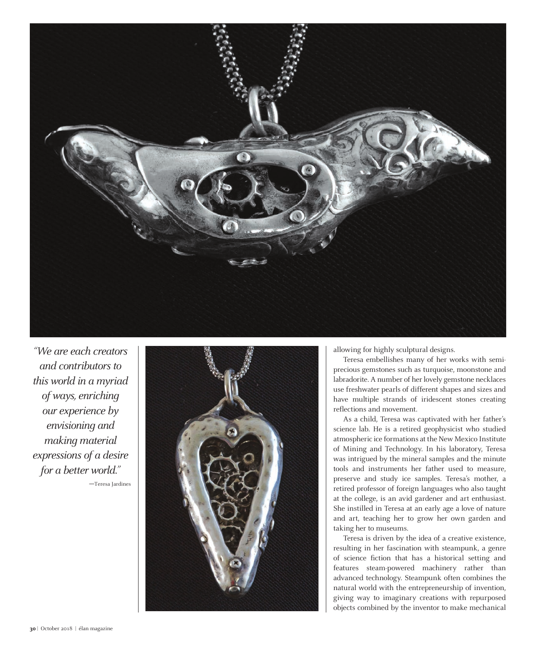

*"We are each creators and contributors to this world in a myriad of ways, enriching our experience by envisioning and making material expressions of a desire for a better world."*

*–*Teresa Jardines



allowing for highly sculptural designs.

Teresa embellishes many of her works with semiprecious gemstones such as turquoise, moonstone and labradorite. A number of her lovely gemstone necklaces use freshwater pearls of different shapes and sizes and have multiple strands of iridescent stones creating reflections and movement.

As a child, Teresa was captivated with her father's science lab. He is a retired geophysicist who studied atmospheric ice formations at the New Mexico Institute of Mining and Technology. In his laboratory, Teresa was intrigued by the mineral samples and the minute tools and instruments her father used to measure, preserve and study ice samples. Teresa's mother, a retired professor of foreign languages who also taught at the college, is an avid gardener and art enthusiast. She instilled in Teresa at an early age a love of nature and art, teaching her to grow her own garden and taking her to museums.

Teresa is driven by the idea of a creative existence, resulting in her fascination with steampunk, a genre of science fiction that has a historical setting and features steam-powered machinery rather than advanced technology. Steampunk often combines the natural world with the entrepreneurship of invention, giving way to imaginary creations with repurposed objects combined by the inventor to make mechanical